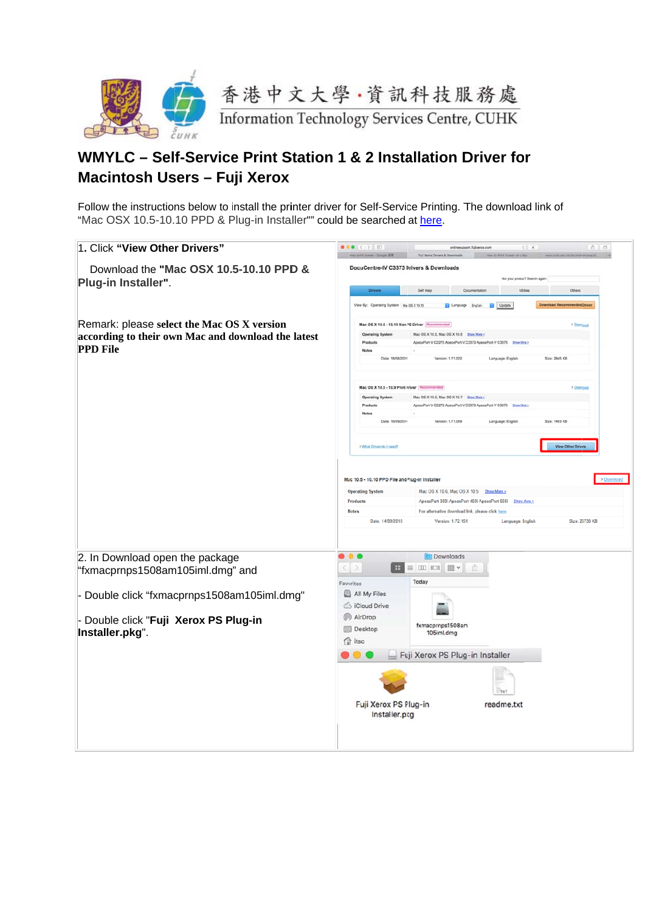

## WMYLC - Self-Service Print Station 1 & 2 Installation Driver for Macintosh Users - Fuji Xerox

Follow the instructions below to install the printer driver for Self-Service Printing. The download link of "Mac OSX 10.5-10.10 PPD & Plug-in Installer"" could be searched at here.

| 1. Click "View Other Drivers"                                 | $\bullet\bullet\bullet\left(\bullet\right)\circ\bullet\bullet\bullet$<br>$\begin{array}{ccc} \bullet & \circ \end{array}$<br>onlinesupport.fullserox.com<br>$0.1 - 1.0$<br>Full Xerry Orivers & Dox                                                                              |
|---------------------------------------------------------------|----------------------------------------------------------------------------------------------------------------------------------------------------------------------------------------------------------------------------------------------------------------------------------|
| Download the "Mac OSX 10.5-10.10 PPD &<br>Plug-in Installer". | DocuCentre-IV C3373 Drivers & Downloads<br>Not your product? Search again                                                                                                                                                                                                        |
|                                                               | <b>Drivers</b><br>Self Help<br>Doumentation<br>Utities<br>Other                                                                                                                                                                                                                  |
|                                                               | Language English & Update<br>View By: Operating System Ma OS X 10.10<br>ad Recommended Drive                                                                                                                                                                                     |
| Remark: please select the Mac OS X version                    | Mac OS X 10.5 - 10.10 Non <sup>3</sup> S Driver Rec<br>> Dowrload                                                                                                                                                                                                                |
| according to their own Mac and download the latest            | <b>Operating System</b><br>Mac OS X 10.5, Mac OS X 10.6    Ehow More >                                                                                                                                                                                                           |
| <b>PPD</b> File                                               | ApeosPort-V C2275 ApeosPort-V C3373 ApeosPort-V C3375 Show More ><br>Product                                                                                                                                                                                                     |
|                                                               | Date: 18/08/2015<br>Version: 1.71.022<br>Language: English<br>Size: 2845 KB                                                                                                                                                                                                      |
|                                                               | Mac OS X 10.5 - 10.9 Print Priver Reco<br>> Download                                                                                                                                                                                                                             |
|                                                               | Mac OS X 10.5, Mac OS X 10.7 Ehow Mora ><br><b>Operating System</b><br>ApeosPort-V C2275 ApeosPort-V C3373 ApeosPort-V C3375 Show Mos.ht<br>Product                                                                                                                              |
|                                                               | <b>Notes</b>                                                                                                                                                                                                                                                                     |
|                                                               | Date: 16/09/2014<br>Version: 1.71.009<br>Size: 1463 KB<br>Language: English                                                                                                                                                                                                      |
|                                                               | View Other Drivers<br>> What Driver do I need?                                                                                                                                                                                                                                   |
|                                                               | Mac 10.5 - 10.10 PPD File and Plug-in Installer<br>> Download<br><b>Operating System</b><br>Mac OS X 10.6, Mac OS X 10.5 Show More ><br>Products<br>ApeasPort 350i ApeasPort 450i ApeasPort 550i Show More ><br>For alternative download link, please click here<br><b>Notes</b> |
|                                                               | Date: 14/09/2015<br>Version: 1.72.151<br>Language: English<br>Size: 25738 KB                                                                                                                                                                                                     |
| 2. In Download open the package                               | $\bullet$ $\bullet$ $\bullet$<br><b>Downloads</b>                                                                                                                                                                                                                                |
| "fxmacprnps1508am105iml.dmg" and                              | $\geq$<br>Ⅲ 101 露 ▼<br>≡<br>Today<br>Favorites                                                                                                                                                                                                                                   |
| - Double click "fxmacprnps1508am105iml.dmg"                   | All My Files                                                                                                                                                                                                                                                                     |
|                                                               | <b>S</b> iCloud Drive                                                                                                                                                                                                                                                            |
| Double click "Fuji Xerox PS Plug-in                           | @ AirDrop                                                                                                                                                                                                                                                                        |
|                                                               | fxmacprnps1508am<br>Desktop                                                                                                                                                                                                                                                      |
| Installer.pkg".                                               | 105iml.dmg<br><sup>1</sup> itsc                                                                                                                                                                                                                                                  |
|                                                               | Fuji Xerox PS Plug-in Installer                                                                                                                                                                                                                                                  |
|                                                               | TXT                                                                                                                                                                                                                                                                              |
|                                                               | Fuji Xerox PS Plug-in<br>readme.txt                                                                                                                                                                                                                                              |
|                                                               | Installer.pkg                                                                                                                                                                                                                                                                    |
|                                                               |                                                                                                                                                                                                                                                                                  |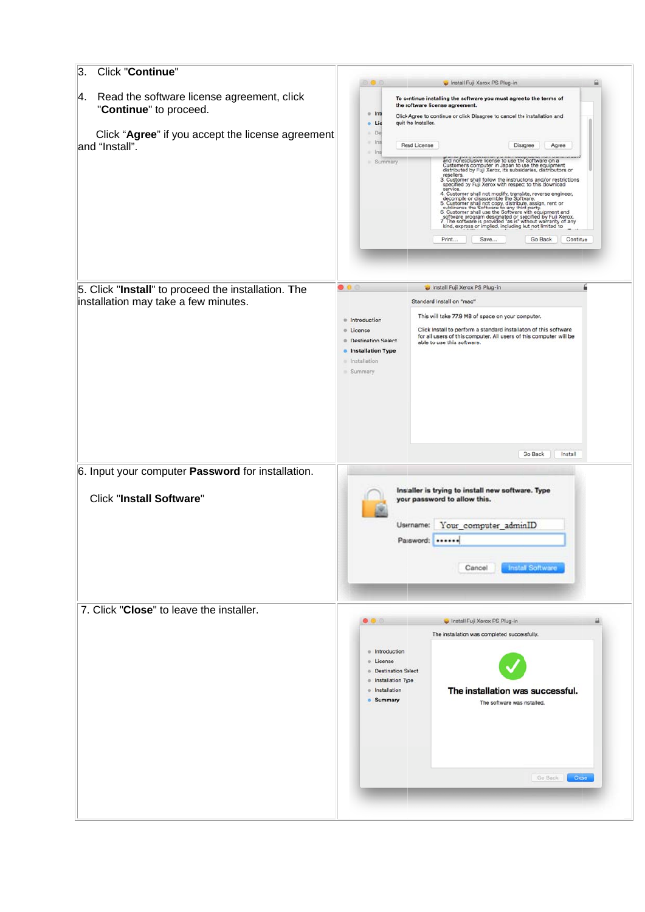| 3.<br>Click "Continue"                                                                      |                                                                                                                                                                                                                                                                                                                                                                                                                                                                                                                                                                                                                                                                                                                                                                                                                                                                              |
|---------------------------------------------------------------------------------------------|------------------------------------------------------------------------------------------------------------------------------------------------------------------------------------------------------------------------------------------------------------------------------------------------------------------------------------------------------------------------------------------------------------------------------------------------------------------------------------------------------------------------------------------------------------------------------------------------------------------------------------------------------------------------------------------------------------------------------------------------------------------------------------------------------------------------------------------------------------------------------|
| Read the software license agreement, click<br> 4.<br>"Continue" to proceed.                 | Install Fuji Xerox PS Plug-in<br>To continue installing the software you must agree to the terms of<br>the software license agreement.<br>· Inti<br>Click Agree to continue or click Disagree to cancel the installation and<br>quit the Installer.<br>Lic<br>$\bullet$                                                                                                                                                                                                                                                                                                                                                                                                                                                                                                                                                                                                      |
| Click "Agree" if you accept the license agreement<br>and "Install".                         | De<br>ln s<br>٠<br>Read License<br>Disagree<br>Agree<br>1 <sub>01</sub><br>٠<br>and nonexclusive license to use the Software on a<br>Summary<br>Customers computer in Japan to use the equipment<br>distributed by Fuji Xerox, its subsidiaries, distributors or<br>resellers.<br>3. Customer shall follow the instructions and/or restrictions<br>specified by Fuji Xerox with respect to this download<br>service.<br>4. Customer shall not modify, translate, reverse engineer,<br>decompile or disassemble the Software.<br>decomple or disassement of the own ware.<br>S. Customer shall not copy, distribute, assign, rent or<br>sublicense the Software to any third party.<br>6. Customer shall use the Software with equipment and<br>software program designated<br>kind, express or implied, including but not limited to<br>Print<br>Continue<br>Save<br>Go Back |
| 5. Click "Install" to proceed the installation. The<br>installation may take a few minutes. | $\bullet$ $\bullet$ $\circ$<br>Install Fuji Xerox PS Plug-in<br>Standard Install on "mac"<br>This will take 77.9 MB of space on your computer.<br>· Introduction<br>Click Install to perform a standard installation of this software<br><b>Communication</b><br>for all users of this computer. All users of this computer will be<br><b>Destination Select</b><br>able to use this software.<br><b>•</b> Installation Type<br>· Installation<br>Summary<br>Go Back<br>Install                                                                                                                                                                                                                                                                                                                                                                                              |
| 6. Input your computer Password for installation.                                           |                                                                                                                                                                                                                                                                                                                                                                                                                                                                                                                                                                                                                                                                                                                                                                                                                                                                              |
| <b>Click "Install Software"</b>                                                             | Installer is trying to install new software. Type<br>your password to allow this.<br>Your_computer_adminID<br>Username:<br>Password:<br><br><b>Install Software</b><br>Cancel                                                                                                                                                                                                                                                                                                                                                                                                                                                                                                                                                                                                                                                                                                |
| 7. Click "Close" to leave the installer.                                                    | Install Fuji Xerox PS Plug-in<br>$\bullet$ $\bullet$ $\circ$<br>The installation was completed successfully.<br>Introduction<br>$\sim$<br>License<br>$\sim$<br><b>Destination Salect</b><br>Installation Type<br>$\circ$<br>Installation<br>The installation was successful.<br>Summary<br>The software was installed.<br>Go Back<br><b>Close</b>                                                                                                                                                                                                                                                                                                                                                                                                                                                                                                                            |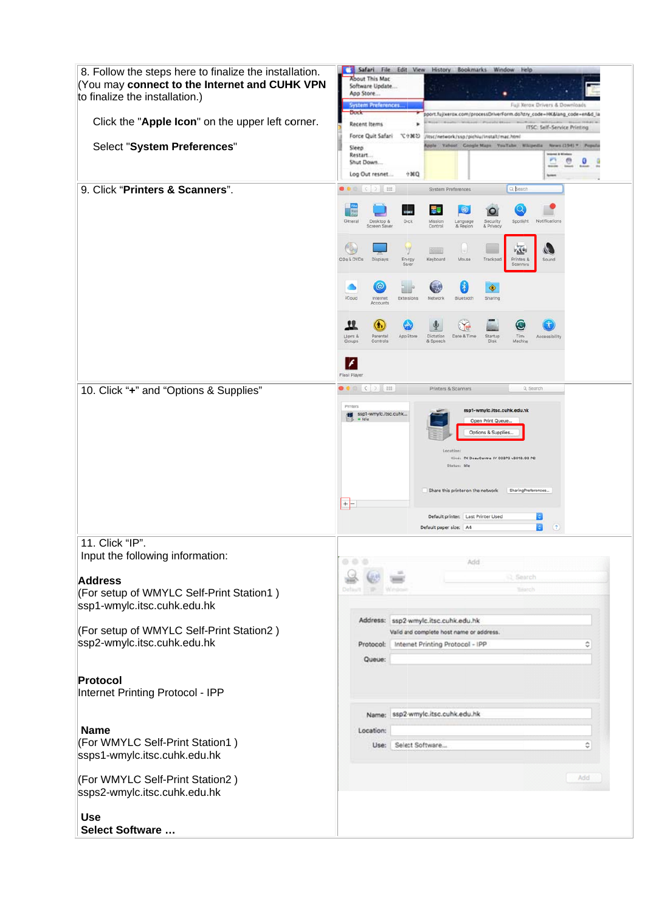| 8. Follow the steps here to finalize the installation.<br>You may connect to the Internet and CUHK VPN<br>to finalize the installation.)        | Safari File Edit View History Bookmarks<br>Window<br>Help<br><b>Noout This Mac</b><br>Software Update<br>App Store<br><b>System Preferences</b><br>Fuji Xerox Drivers & Downloads                                                                                                                                                                                                                                                                                                                                                                          |
|-------------------------------------------------------------------------------------------------------------------------------------------------|------------------------------------------------------------------------------------------------------------------------------------------------------------------------------------------------------------------------------------------------------------------------------------------------------------------------------------------------------------------------------------------------------------------------------------------------------------------------------------------------------------------------------------------------------------|
| Click the "Apple Icon" on the upper left corner.                                                                                                | Dock<br>pport.fujixerox.com/processDriverForm.do?stry_code=HK⟨_code=en&d_la<br>Recent Items<br>ITSC: Self-Service Printing<br>Force Quit Safari てき其り                                                                                                                                                                                                                                                                                                                                                                                                       |
| Select "System Preferences"                                                                                                                     | /itsc/network/ssp/pichiu/instalt/mac.html<br>Apple Yahoo! Google Maps YouTube, Whipedia<br>News (194) 7<br>Popula<br>Sleep<br>Restart<br>۰<br>o<br>в<br>Shut Down<br>0004<br>Log Out resnet                                                                                                                                                                                                                                                                                                                                                                |
| 9. Click "Printers & Scanners".                                                                                                                 | $\bullet \bullet \circ \circ$ : $\rightarrow$ $\mathbb{H}$<br>Q Search<br>System Preferences<br>Ŧ<br>Nx<br>ita t<br>General<br>Notifications<br>Dick<br>Desktop &<br>Mission<br>Security<br>Spotlight<br>Language<br>& Privacy<br>Screen Saver<br>Control<br>& Region<br>(6)<br>V<br>$\omega$<br>X(1)<br>CDs & DVDs<br>Mouse<br>Trackpad<br>Printers &<br>Displays<br>Enirgy<br>Keyboard<br>Sound<br>Saver<br><b>Scanners</b><br>$^{\circ}$<br>$\ast$<br>5.<br>◈<br><b>iCloud</b><br>Internet<br>Extersions<br>Network<br>Bluetooth<br>Sharing<br>Accounts |
|                                                                                                                                                 | 11<br>G.<br>Users &<br>Parental<br>App Store<br>Dictation<br>Date & Time<br>Startup<br>Time<br>Accessibility<br>Groups<br>Controls<br>& Speech<br>Disk<br>Machine<br>F<br>Flash Playe                                                                                                                                                                                                                                                                                                                                                                      |
| 10. Click "+" and "Options & Supplies"                                                                                                          | 皿<br>$\bullet$ $\bullet$ $\circ$ $\circ$<br>Q. Search<br>œ.<br>Printers & Scanners<br>Printers<br>ssp1-wmylc.itsc.cuhk.edu.hk<br>ssp1-wmylc.itsc.cuhk<br>· Idle<br>Open Print Queue.<br>Options & Supplies.<br>Location<br>Kind: FX DocuCentre-IV C3373 v3018.103 PS<br>Status: Idle<br>Share this printer on the network<br>Sharing Preferences<br>$+$ -<br>Default printer: Last Printer Used<br>$\left( 2\right)$<br>Ð<br>Default paper size: A4                                                                                                        |
| 11. Click "IP"<br>Input the following information:<br><b>Address</b><br>(For setup of WMYLC Self-Print Station1)<br>ssp1-wmylc.itsc.cuhk.edu.hk | 0.0.0<br>Add<br><b>Bearch</b><br>Default:<br><b>Sinnels</b><br><b>STAR</b><br>1-Microsoft                                                                                                                                                                                                                                                                                                                                                                                                                                                                  |
| (For setup of WMYLC Self-Print Station2)<br>ssp2-wmylc.itsc.cuhk.edu.hk                                                                         | Address: ssp2-wmylc.itsc.cuhk.edu.hk<br>Valid and complete host name or address.<br>Internet Printing Protocol - IPP<br>Protocol:<br>٥<br>Queue:                                                                                                                                                                                                                                                                                                                                                                                                           |
| Protocol<br>Internet Printing Protocol - IPP<br><b>Name</b>                                                                                     | ssp2-wmylc.itsc.cuhk.edu.hk<br>Name:<br>Location:                                                                                                                                                                                                                                                                                                                                                                                                                                                                                                          |
| (For WMYLC Self-Print Station1)<br>ssps1-wmylc.itsc.cuhk.edu.hk                                                                                 | ٥<br>Select Software<br>Use:<br>Add                                                                                                                                                                                                                                                                                                                                                                                                                                                                                                                        |
| (For WMYLC Self-Print Station2)<br>ssps2-wmylc.itsc.cuhk.edu.hk<br><b>Use</b><br><b>Select Software </b>                                        |                                                                                                                                                                                                                                                                                                                                                                                                                                                                                                                                                            |